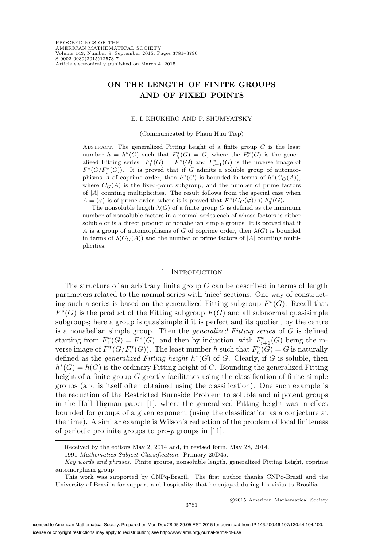# **ON THE LENGTH OF FINITE GROUPS AND OF FIXED POINTS**

### E. I. KHUKHRO AND P. SHUMYATSKY

(Communicated by Pham Huu Tiep)

ABSTRACT. The generalized Fitting height of a finite group  $G$  is the least number  $h = h^*(G)$  such that  $F_h^*(G) = G$ , where the  $F_i^*(G)$  is the generalized Fitting series:  $F_1^*(G) = F^*(G)$  and  $F_{i+1}^*(G)$  is the inverse image of  $F^*(G/F_i^*(G))$ . It is proved that if G admits a soluble group of automorphisms A of coprime order, then  $h^*(G)$  is bounded in terms of  $h^*(C_G(A)),$ where  $C_G(A)$  is the fixed-point subgroup, and the number of prime factors of  $|A|$  counting multiplicities. The result follows from the special case when  $A = \langle \varphi \rangle$  is of prime order, where it is proved that  $F^*(C_G(\varphi)) \leq F^*_9(G)$ .

The nonsoluble length  $\lambda(G)$  of a finite group G is defined as the minimum number of nonsoluble factors in a normal series each of whose factors is either soluble or is a direct product of nonabelian simple groups. It is proved that if A is a group of automorphisms of G of coprime order, then  $\lambda(G)$  is bounded in terms of  $\lambda(C_G(A))$  and the number of prime factors of |A| counting multiplicities.

### 1. INTRODUCTION

The structure of an arbitrary finite group  $G$  can be described in terms of length parameters related to the normal series with 'nice' sections. One way of constructing such a series is based on the generalized Fitting subgroup  $F^*(G)$ . Recall that  $F^*(G)$  is the product of the Fitting subgroup  $F(G)$  and all subnormal quasisimple subgroups; here a group is quasisimple if it is perfect and its quotient by the centre is a nonabelian simple group. Then the *generalized Fitting series* of  $G$  is defined starting from  $F_1^*(G) = F^*(G)$ , and then by induction, with  $F_{i+1}^*(G)$  being the inverse image of  $F^*(G/F_i^*(G))$ . The least number h such that  $F_h^*(G) = G$  is naturally defined as the *generalized Fitting height*  $h<sup>*</sup>(G)$  of G. Clearly, if G is soluble, then  $h^*(G) = h(G)$  is the ordinary Fitting height of G. Bounding the generalized Fitting height of a finite group  $G$  greatly facilitates using the classification of finite simple groups (and is itself often obtained using the classification). One such example is the reduction of the Restricted Burnside Problem to soluble and nilpotent groups in the Hall–Higman paper [1], where the generalized Fitting height was in effect bounded for groups of a given exponent (using the classification as a conjecture at the time). A similar example is Wilson's reduction of the problem of local finiteness of periodic profinite groups to pro-p groups in [11].

c 2015 American Mathematical Society

Received by the editors May 2, 2014 and, in revised form, May 28, 2014.

<sup>1991</sup> Mathematics Subject Classification. Primary 20D45.

Key words and phrases. Finite groups, nonsoluble length, generalized Fitting height, coprime automorphism group.

This work was supported by CNPq-Brazil. The first author thanks CNPq-Brazil and the University of Brasilia for support and hospitality that he enjoyed during his visits to Brasilia.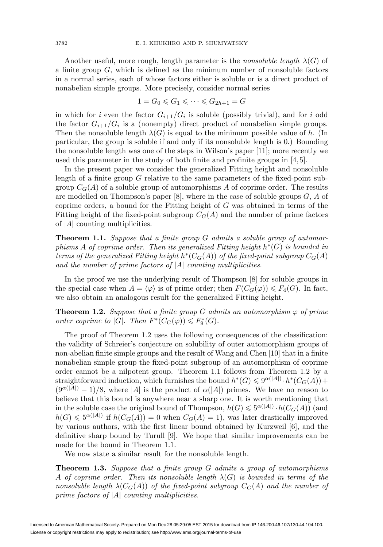Another useful, more rough, length parameter is the *nonsoluble length*  $\lambda(G)$  of a finite group  $G$ , which is defined as the minimum number of nonsoluble factors in a normal series, each of whose factors either is soluble or is a direct product of nonabelian simple groups. More precisely, consider normal series

$$
1 = G_0 \leqslant G_1 \leqslant \cdots \leqslant G_{2h+1} = G
$$

in which for i even the factor  $G_{i+1}/G_i$  is soluble (possibly trivial), and for i odd the factor  $G_{i+1}/G_i$  is a (nonempty) direct product of nonabelian simple groups. Then the nonsoluble length  $\lambda(G)$  is equal to the minimum possible value of h. (In particular, the group is soluble if and only if its nonsoluble length is 0.) Bounding the nonsoluble length was one of the steps in Wilson's paper [11]; more recently we used this parameter in the study of both finite and profinite groups in  $[4, 5]$ .

In the present paper we consider the generalized Fitting height and nonsoluble length of a finite group G relative to the same parameters of the fixed-point subgroup  $C_G(A)$  of a soluble group of automorphisms A of coprime order. The results are modelled on Thompson's paper  $[8]$ , where in the case of soluble groups  $G, A$  of coprime orders, a bound for the Fitting height of G was obtained in terms of the Fitting height of the fixed-point subgroup  $C_G(A)$  and the number of prime factors of  $|A|$  counting multiplicities.

**Theorem 1.1.** Suppose that a finite group G admits a soluble group of automorphisms A of coprime order. Then its generalized Fitting height  $h^*(G)$  is bounded in terms of the generalized Fitting height  $h^*(C_G(A))$  of the fixed-point subgroup  $C_G(A)$ and the number of prime factors of  $|A|$  counting multiplicities.

In the proof we use the underlying result of Thompson [8] for soluble groups in the special case when  $A = \langle \varphi \rangle$  is of prime order; then  $F(C_G(\varphi)) \leq F_4(G)$ . In fact, we also obtain an analogous result for the generalized Fitting height.

**Theorem 1.2.** Suppose that a finite group G admits an automorphism  $\varphi$  of prime order coprime to |G|. Then  $F^*(C_G(\varphi)) \leq F_9^*(G)$ .

The proof of Theorem 1.2 uses the following consequences of the classification: the validity of Schreier's conjecture on solubility of outer automorphism groups of non-abelian finite simple groups and the result of Wang and Chen [10] that in a finite nonabelian simple group the fixed-point subgroup of an automorphism of coprime order cannot be a nilpotent group. Theorem 1.1 follows from Theorem 1.2 by a straightforward induction, which furnishes the bound  $h^*(G) \leq 9^{\alpha(|A|)} \cdot h^*(C_G(A)) +$  $(9^{\alpha(|A|)}-1)/8$ , where |A| is the product of  $\alpha(|A|)$  primes. We have no reason to believe that this bound is anywhere near a sharp one. It is worth mentioning that in the soluble case the original bound of Thompson,  $h(G) \leqslant 5^{\alpha(|A|)} \cdot h(C_G(A))$  (and  $h(G) \leqslant 5^{\alpha(|A|)}$  if  $h(C_G(A)) = 0$  when  $C_G(A) = 1$ , was later drastically improved by various authors, with the first linear bound obtained by Kurzweil [6], and the definitive sharp bound by Turull [9]. We hope that similar improvements can be made for the bound in Theorem 1.1.

We now state a similar result for the nonsoluble length.

**Theorem 1.3.** Suppose that a finite group G admits a group of automorphisms A of coprime order. Then its nonsoluble length  $\lambda(G)$  is bounded in terms of the nonsoluble length  $\lambda(C_G(A))$  of the fixed-point subgroup  $C_G(A)$  and the number of prime factors of  $|A|$  counting multiplicities.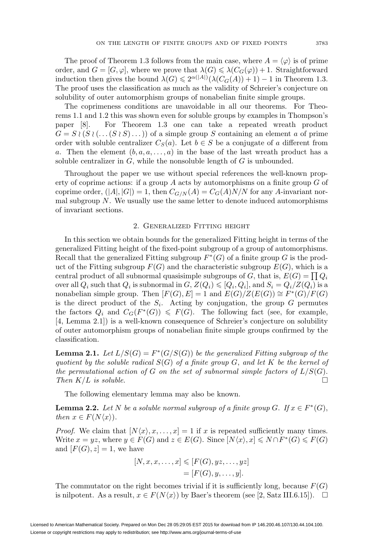The proof of Theorem 1.3 follows from the main case, where  $A = \langle \varphi \rangle$  is of prime order, and  $G = [G, \varphi]$ , where we prove that  $\lambda(G) \leq \lambda(C_G(\varphi)) + 1$ . Straightforward induction then gives the bound  $\lambda(G) \leq 2^{\alpha(|A|)}(\lambda(C_G(A)) + 1) - 1$  in Theorem 1.3. The proof uses the classification as much as the validity of Schreier's conjecture on solubility of outer automorphism groups of nonabelian finite simple groups.

The coprimeness conditions are unavoidable in all our theorems. For Theorems 1.1 and 1.2 this was shown even for soluble groups by examples in Thompson's paper [8]. For Theorem 1.3 one can take a repeated wreath product  $G = S \wr (S \wr (\dots (S \wr S) \dots))$  of a simple group S containing an element a of prime order with soluble centralizer  $C_S(a)$ . Let  $b \in S$  be a conjugate of a different from a. Then the element  $(b, a, a, \ldots, a)$  in the base of the last wreath product has a soluble centralizer in  $G$ , while the nonsoluble length of  $G$  is unbounded.

Throughout the paper we use without special references the well-known property of coprime actions: if a group A acts by automorphisms on a finite group G of coprime order,  $(|A|, |G|) = 1$ , then  $C_{G/N}(A) = C_G(A)N/N$  for any A-invariant normal subgroup  $N$ . We usually use the same letter to denote induced automorphisms of invariant sections.

### 2. Generalized Fitting height

In this section we obtain bounds for the generalized Fitting height in terms of the generalized Fitting height of the fixed-point subgroup of a group of automorphisms. Recall that the generalized Fitting subgroup  $F^*(G)$  of a finite group G is the product of the Fitting subgroup  $F(G)$  and the characteristic subgroup  $E(G)$ , which is a central product of all subnormal quasisimple subgroups of G, that is,  $E(G) = \prod Q_i$ over all  $Q_i$  such that  $Q_i$  is subnormal in  $G, Z(Q_i) \leqslant [Q_i, Q_i],$  and  $S_i = Q_i/Z(Q_i)$  is a nonabelian simple group. Then  $[F(G), E] = 1$  and  $E(G)/Z(E(G)) \cong F^*(G)/F(G)$ is the direct product of the  $S_i$ . Acting by conjugation, the group G permutes the factors  $Q_i$  and  $C_G(F^*(G)) \leq F(G)$ . The following fact (see, for example, [4, Lemma 2.1]) is a well-known consequence of Schreier's conjecture on solubility of outer automorphism groups of nonabelian finite simple groups confirmed by the classification.

**Lemma 2.1.** Let  $L/S(G) = F^*(G/S(G))$  be the generalized Fitting subgroup of the quotient by the soluble radical  $S(G)$  of a finite group G, and let K be the kernel of the permutational action of G on the set of subnormal simple factors of  $L/S(G)$ . Then  $K/L$  is soluble.

The following elementary lemma may also be known.

**Lemma 2.2.** Let N be a soluble normal subgroup of a finite group G. If  $x \in F^*(G)$ , then  $x \in F(N\langle x \rangle)$ .

*Proof.* We claim that  $[N\langle x\rangle, x, \ldots, x] = 1$  if x is repeated sufficiently many times. Write  $x = yz$ , where  $y \in F(G)$  and  $z \in E(G)$ . Since  $[N\langle x \rangle, x] \leq N \cap F^*(G) \leq F(G)$ and  $[F(G), z] = 1$ , we have

$$
[N, x, x, \dots, x] \leqslant [F(G), yz, \dots, yz]
$$

$$
= [F(G), y, \dots, y].
$$

The commutator on the right becomes trivial if it is sufficiently long, because  $F(G)$ is nilpotent. As a result,  $x \in F(N\langle x \rangle)$  by Baer's theorem (see [2, Satz III.6.15]).  $\Box$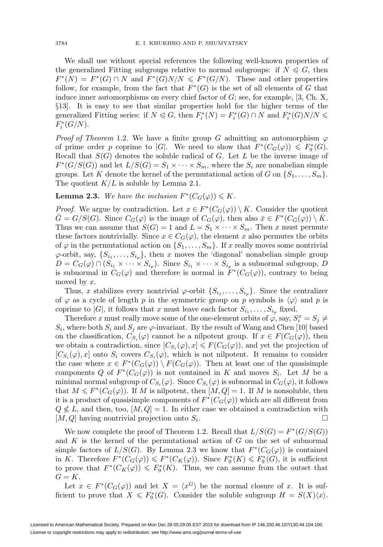We shall use without special references the following well-known properties of the generalized Fitting subgroups relative to normal subgroups: if  $N \leq G$ , then  $F^*(N) = F^*(G) \cap N$  and  $F^*(G)N/N \leq F^*(G/N)$ . These and other properties follow, for example, from the fact that  $F^*(G)$  is the set of all elements of G that induce inner automorphisms on every chief factor of  $G$ ; see, for example, [3, Ch. X, §13]. It is easy to see that similar properties hold for the higher terms of the generalized Fitting series: if  $N \leq G$ , then  $F_i^*(N) = F_i^*(G) \cap N$  and  $F_i^*(G)N/N \leq$  $F_i^*(G/N)$ .

*Proof of Theorem* 1.2. We have a finite group G admitting an automorphism  $\varphi$ of prime order p coprime to |G|. We need to show that  $F^*(C_G(\varphi)) \leq F^*_9(G)$ . Recall that  $S(G)$  denotes the soluble radical of G. Let L be the inverse image of  $F^*(G/S(G))$  and let  $L/S(G) = S_1 \times \cdots \times S_m$ , where the  $S_i$  are nonabelian simple groups. Let K denote the kernel of the permutational action of G on  $\{S_1,\ldots,S_m\}$ . The quotient  $K/L$  is soluble by Lemma 2.1.

## **Lemma 2.3.** We have the inclusion  $F^*(C_G(\varphi)) \leq K$ .

*Proof.* We argue by contradiction. Let  $x \in F^*(C_G(\varphi)) \setminus K$ . Consider the quotient  $\overline{G} = G/S(G)$ . Since  $C_{\overline{G}}(\varphi)$  is the image of  $C_G(\varphi)$ , then also  $\overline{x} \in F^*(C_{\overline{G}}(\varphi)) \setminus \overline{K}$ . Thus we can assume that  $S(G) = 1$  and  $L = S_1 \times \cdots \times S_m$ . Then x must permute these factors nontrivially. Since  $x \in C_G(\varphi)$ , the element x also permutes the orbits of  $\varphi$  in the permutational action on  $\{S_1,\ldots,S_m\}$ . If x really moves some nontrivial  $\varphi$ -orbit, say,  $\{S_{i_1},\ldots,S_{i_n}\}\$ , then x moves the 'diagonal' nonabelian simple group  $D = C_G(\varphi) \cap (S_{i_1} \times \cdots \times S_{i_p})$ . Since  $S_{i_1} \times \cdots \times S_{i_p}$  is a subnormal subgroup, D is subnormal in  $C_G(\varphi)$  and therefore is normal in  $F^*(C_G(\varphi))$ , contrary to being moved by x.

Thus, x stabilizes every nontrivial  $\varphi$ -orbit  $\{S_{i_1},\ldots,S_{i_p}\}$ . Since the centralizer of  $\varphi$  as a cycle of length p in the symmetric group on p symbols is  $\langle \varphi \rangle$  and p is coprime to |G|, it follows that x must leave each factor  $S_{i_1}, \ldots, S_{i_p}$  fixed.

Therefore x must really move some of the one-element orbits of  $\varphi$ , say,  $S_i^x = S_j \neq$  $S_i$ , where both  $S_i$  and  $S_j$  are  $\varphi$ -invariant. By the result of Wang and Chen [10] based on the classification,  $C_{S_i}(\varphi)$  cannot be a nilpotent group. If  $x \in F(C_G(\varphi))$ , then we obtain a contradiction, since  $[C_{S_i}(\varphi), x] \leq F(C_G(\varphi))$ , and yet the projection of  $[C_{S_i}(\varphi), x]$  onto  $S_i$  covers  $C_{S_i}(\varphi)$ , which is not nilpotent. It remains to consider the case where  $x \in F^*(C_G(\varphi)) \setminus F(C_G(\varphi))$ . Then at least one of the quasisimple components Q of  $F^*(C_G(\varphi))$  is not contained in K and moves  $S_i$ . Let M be a minimal normal subgroup of  $C_{S_i}(\varphi)$ . Since  $C_{S_i}(\varphi)$  is subnormal in  $C_G(\varphi)$ , it follows that  $M \leq F^*(C_G(\varphi))$ . If M is nilpotent, then  $[M, Q] = 1$ . If M is nonsoluble, then it is a product of quasisimple components of  $F^*(C_G(\varphi))$  which are all different from  $Q \nleq L$ , and then, too,  $[M, Q] = 1$ . In either case we obtained a contradiction with  $[M, Q]$  having nontrivial projection onto  $S_i$ .

We now complete the proof of Theorem 1.2. Recall that  $L/S(G) = F^*(G/S(G))$ and  $K$  is the kernel of the permutational action of  $G$  on the set of subnormal simple factors of  $L/S(G)$ . By Lemma 2.3 we know that  $F^*(C_G(\varphi))$  is contained in K. Therefore  $F^*(C_G(\varphi)) \leq F^*(C_K(\varphi))$ . Since  $F_9^*(K) \leq F_9^*(G)$ , it is sufficient to prove that  $F^*(C_K(\varphi)) \leq F^*_9(K)$ . Thus, we can assume from the outset that  $G = K$ .

Let  $x \in F^*(C_G(\varphi))$  and let  $X = \langle x^G \rangle$  be the normal closure of x. It is sufficient to prove that  $X \leq F_9^*(G)$ . Consider the soluble subgroup  $H = S(X)\langle x \rangle$ .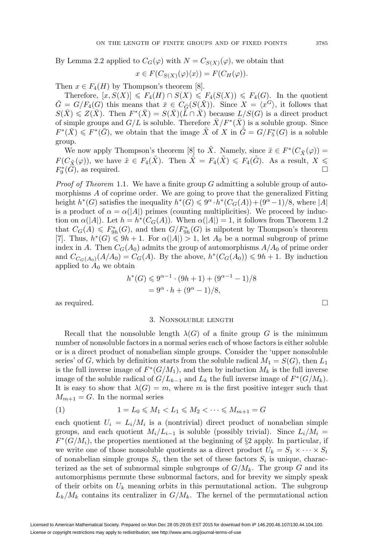By Lemma 2.2 applied to  $C_G(\varphi)$  with  $N = C_{S(X)}(\varphi)$ , we obtain that

$$
x \in F(C_{S(X)}(\varphi)\langle x \rangle) = F(C_H(\varphi)).
$$

Then  $x \in F_4(H)$  by Thompson's theorem [8].

Therefore,  $[x, S(X)] \leq F_4(H) \cap S(X) \leq F_4(S(X)) \leq F_4(G)$ . In the quotient  $\bar{G} = G/F_4(G)$  this means that  $\bar{x} \in C_{\bar{G}}(S(\bar{X}))$ . Since  $X = \langle x^G \rangle$ , it follows that  $S(\bar{X}) \leq Z(\bar{X})$ . Then  $F^*(\bar{X}) = S(\bar{X})(\bar{L} \cap \bar{X})$  because  $L/S(G)$  is a direct product of simple groups and  $G/L$  is soluble. Therefore  $X/F^*(X)$  is a soluble group. Since  $F^*(\bar{X}) \leq F^*(\bar{G})$ , we obtain that the image  $\tilde{X}$  of X in  $\tilde{G} = G/F_5^*(G)$  is a soluble group.

We now apply Thompson's theorem [8] to  $\tilde{X}$ . Namely, since  $\tilde{x} \in F^*(C_{\tilde{X}}(\varphi)) =$  $F(C_{\tilde{X}}(\varphi))$ , we have  $\tilde{x} \in F_4(\tilde{X})$ . Then  $\tilde{X} = F_4(\tilde{X}) \leq F_4(\tilde{G})$ . As a result,  $X \leq$  $F_9^*(G)$ , as required.

*Proof of Theorem* 1.1. We have a finite group  $G$  admitting a soluble group of automorphisms A of coprime order. We are going to prove that the generalized Fitting height  $h^*(G)$  satisfies the inequality  $h^*(G) \leq 9^{\alpha} \cdot h^*(C_G(A)) + (9^{\alpha}-1)/8$ , where |A| is a product of  $\alpha = \alpha(|A|)$  primes (counting multiplicities). We proceed by induction on  $\alpha(|A|)$ . Let  $h = h^*(C_G(A))$ . When  $\alpha(|A|) = 1$ , it follows from Theorem 1.2 that  $C_G(A) \leq F_{9h}^*(G)$ , and then  $G/F_{9h}^*(G)$  is nilpotent by Thompson's theorem [7]. Thus,  $h^*(G) \leq 9h + 1$ . For  $\alpha(|A|) > 1$ , let  $A_0$  be a normal subgroup of prime index in A. Then  $C_G(A_0)$  admits the group of automorphisms  $A/A_0$  of prime order and  $C_{C_G(A_0)}(A/A_0) = C_G(A)$ . By the above,  $h^*(C_G(A_0)) \leq 9h + 1$ . By induction applied to  $A_0$  we obtain

$$
h^*(G) \le 9^{\alpha - 1} \cdot (9h + 1) + (9^{\alpha - 1} - 1)/8
$$
  
=  $9^{\alpha} \cdot h + (9^{\alpha} - 1)/8$ ,

as required.  $\square$ 

### 3. Nonsoluble length

Recall that the nonsoluble length  $\lambda(G)$  of a finite group G is the minimum number of nonsoluble factors in a normal series each of whose factors is either soluble or is a direct product of nonabelian simple groups. Consider the 'upper nonsoluble series' of G, which by definition starts from the soluble radical  $M_1 = S(G)$ , then  $L_1$ is the full inverse image of  $F^*(G/M_1)$ , and then by induction  $M_k$  is the full inverse image of the soluble radical of  $G/L_{k-1}$  and  $L_k$  the full inverse image of  $F^*(G/M_k)$ . It is easy to show that  $\lambda(G) = m$ , where m is the first positive integer such that  $M_{m+1} = G$ . In the normal series

(1) 
$$
1 = L_0 \leq M_1 < L_1 \leq M_2 < \cdots \leq M_{m+1} = G
$$

each quotient  $U_i = L_i/M_i$  is a (nontrivial) direct product of nonabelian simple groups, and each quotient  $M_i/L_{i-1}$  is soluble (possibly trivial). Since  $L_i/M_i =$  $F^*(G/M_i)$ , the properties mentioned at the beginning of §2 apply. In particular, if we write one of those nonsoluble quotients as a direct product  $U_k = S_1 \times \cdots \times S_t$ of nonabelian simple groups  $S_i$ , then the set of these factors  $S_i$  is unique, characterized as the set of subnormal simple subgroups of  $G/M_k$ . The group G and its automorphisms permute these subnormal factors, and for brevity we simply speak of their orbits on  $U_k$  meaning orbits in this permutational action. The subgroup  $L_k/M_k$  contains its centralizer in  $G/M_k$ . The kernel of the permutational action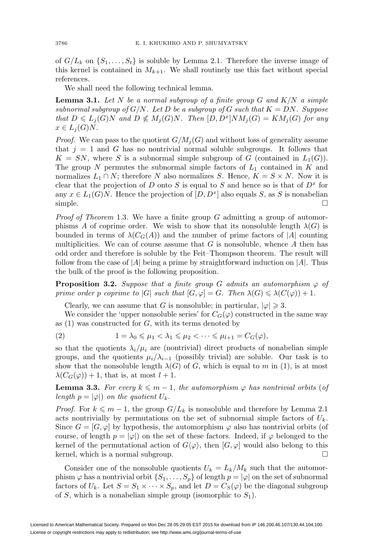of  $G/L_k$  on  $\{S_1,\ldots,S_t\}$  is soluble by Lemma 2.1. Therefore the inverse image of this kernel is contained in  $M_{k+1}$ . We shall routinely use this fact without special references.

We shall need the following technical lemma.

**Lemma 3.1.** Let  $N$  be a normal subgroup of a finite group  $G$  and  $K/N$  a simple subnormal subgroup of  $G/N$ . Let D be a subgroup of G such that  $K = DN$ . Suppose that  $D \leqslant L_j(G)N$  and  $D \nleqslant M_j(G)N$ . Then  $[D, D^x]NM_j(G) = KM_j(G)$  for any  $x \in L_j(G)N$ .

*Proof.* We can pass to the quotient  $G/M_i(G)$  and without loss of generality assume that  $j = 1$  and G has no nontrivial normal soluble subgroups. It follows that  $K = SN$ , where S is a subnormal simple subgroup of G (contained in  $L_1(G)$ ). The group N permutes the subnormal simple factors of  $L_1$  contained in K and normalizes  $L_1 \cap N$ ; therefore N also normalizes S. Hence,  $K = S \times N$ . Now it is clear that the projection of D onto S is equal to S and hence so is that of  $D<sup>x</sup>$  for any  $x \in L_1(G)N$ . Hence the projection of  $[D, D^x]$  also equals S, as S is nonabelian simple.  $\Box$ 

*Proof of Theorem* 1.3. We have a finite group  $G$  admitting a group of automorphisms A of coprime order. We wish to show that its nonsoluble length  $\lambda(G)$  is bounded in terms of  $\lambda(C_G(A))$  and the number of prime factors of |A| counting multiplicities. We can of course assume that  $G$  is nonsoluble, whence  $A$  then has odd order and therefore is soluble by the Feit–Thompson theorem. The result will follow from the case of  $|A|$  being a prime by straightforward induction on  $|A|$ . Thus the bulk of the proof is the following proposition.

**Proposition 3.2.** Suppose that a finite group G admits an automorphism  $\varphi$  of prime order p coprime to |G| such that  $[G, \varphi] = G$ . Then  $\lambda(G) \leq \lambda(C(\varphi)) + 1$ .

Clearly, we can assume that G is nonsoluble; in particular,  $|\varphi| \geq 3$ .

We consider the 'upper nonsoluble series' for  $C_G(\varphi)$  constructed in the same way as  $(1)$  was constructed for  $G$ , with its terms denoted by

$$
(2) \t 1 = \lambda_0 \leqslant \mu_1 < \lambda_1 \leqslant \mu_2 < \cdots \leqslant \mu_{l+1} = C_G(\varphi),
$$

so that the quotients  $\lambda_i/\mu_i$  are (nontrivial) direct products of nonabelian simple groups, and the quotients  $\mu_i/\lambda_{i-1}$  (possibly trivial) are soluble. Our task is to show that the nonsoluble length  $\lambda(G)$  of G, which is equal to m in (1), is at most  $\lambda(C_G(\varphi)) + 1$ , that is, at most  $l + 1$ .

**Lemma 3.3.** For every  $k \leq m - 1$ , the automorphism  $\varphi$  has nontrivial orbits (of length  $p = |\varphi|$  on the quotient  $U_k$ .

*Proof.* For  $k \leq m - 1$ , the group  $G/L_k$  is nonsoluble and therefore by Lemma 2.1 acts nontrivially by permutations on the set of subnormal simple factors of  $U_k$ . Since  $G = [G, \varphi]$  by hypothesis, the automorphism  $\varphi$  also has nontrivial orbits (of course, of length  $p = |\varphi|$ ) on the set of these factors. Indeed, if  $\varphi$  belonged to the kernel of the permutational action of  $G(\varphi)$ , then  $[G, \varphi]$  would also belong to this kernel, which is a normal subgroup.  $\square$ 

Consider one of the nonsoluble quotients  $U_k = L_k/M_k$  such that the automorphism  $\varphi$  has a nontrivial orbit  $\{S_1,\ldots,S_p\}$  of length  $p = |\varphi|$  on the set of subnormal factors of  $U_k$ . Let  $S = S_1 \times \cdots \times S_p$ , and let  $D = C_S(\varphi)$  be the diagonal subgroup of S, which is a nonabelian simple group (isomorphic to  $S_1$ ).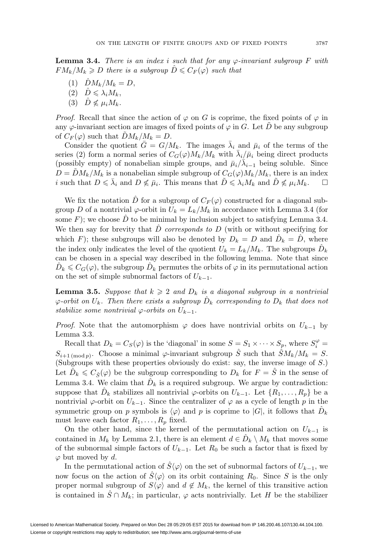**Lemma 3.4.** There is an index i such that for any  $\varphi$ -invariant subgroup F with  $FM_k/M_k \geqslant D$  there is a subgroup  $\hat{D} \leqslant C_F(\varphi)$  such that

- (1)  $\hat{D}M_k/M_k = D$ ,
- (2)  $\hat{D} \leqslant \lambda_i M_k$ ,
- (3)  $\hat{D} \nleq \mu_i M_k$ .

*Proof.* Recall that since the action of  $\varphi$  on G is coprime, the fixed points of  $\varphi$  in any  $\varphi$ -invariant section are images of fixed points of  $\varphi$  in G. Let  $\tilde{D}$  be any subgroup of  $C_F(\varphi)$  such that  $DM_k/M_k = D$ .

Consider the quotient  $\bar{G} = G/M_k$ . The images  $\bar{\lambda}_i$  and  $\bar{\mu}_i$  of the terms of the series (2) form a normal series of  $C_G(\varphi)M_k/M_k$  with  $\bar{\lambda}_i/\bar{\mu}_i$  being direct products (possibly empty) of nonabelian simple groups, and  $\bar{\mu}_i/\bar{\lambda}_{i-1}$  being soluble. Since  $D = DM_k/M_k$  is a nonabelian simple subgroup of  $C_G(\varphi)M_k/M_k$ , there is an index i such that  $D \leq \bar{\lambda}_i$  and  $D \nleq \bar{\mu}_i$ . This means that  $\tilde{D} \leq \lambda_i M_k$  and  $\tilde{D} \nleq \mu_i M_k$ .  $\Box$ 

We fix the notation  $\hat{D}$  for a subgroup of  $C_F(\varphi)$  constructed for a diagonal subgroup D of a nontrivial  $\varphi$ -orbit in  $U_k = L_k/M_k$  in accordance with Lemma 3.4 (for some  $F$ ); we choose  $D$  to be minimal by inclusion subject to satisfying Lemma 3.4. We then say for brevity that  $\hat{D}$  corresponds to  $D$  (with or without specifying for which F); these subgroups will also be denoted by  $D_k = D$  and  $D_k = D$ , where the index only indicates the level of the quotient  $U_k = L_k/M_k$ . The subgroups  $\hat{D}_k$ can be chosen in a special way described in the following lemma. Note that since  $\hat{D}_k \leqslant C_G(\varphi)$ , the subgroup  $\hat{D}_k$  permutes the orbits of  $\varphi$  in its permutational action on the set of simple subnormal factors of  $U_{k-1}$ .

**Lemma 3.5.** Suppose that  $k \geq 2$  and  $D_k$  is a diagonal subgroup in a nontrivial  $\varphi$ -orbit on  $U_k$ . Then there exists a subgroup  $\hat{D}_k$  corresponding to  $D_k$  that does not stabilize some nontrivial  $\varphi$ -orbits on  $U_{k-1}$ .

*Proof.* Note that the automorphism  $\varphi$  does have nontrivial orbits on  $U_{k-1}$  by Lemma 3.3.

Recall that  $D_k = C_S(\varphi)$  is the 'diagonal' in some  $S = S_1 \times \cdots \times S_p$ , where  $S_i^{\varphi} =$  $S_{i+1 \pmod{p}}$ . Choose a minimal  $\varphi$ -invariant subgroup  $\hat{S}$  such that  $\hat{S}M_k/M_k = S$ . (Subgroups with these properties obviously do exist: say, the inverse image of S.) Let  $\hat{D}_k \leqslant C_{\hat{S}}(\varphi)$  be the subgroup corresponding to  $D_k$  for  $F = \hat{S}$  in the sense of Lemma 3.4. We claim that  $\hat{D}_k$  is a required subgroup. We argue by contradiction: suppose that  $D_k$  stabilizes all nontrivial  $\varphi$ -orbits on  $U_{k-1}$ . Let  $\{R_1,\ldots,R_p\}$  be a nontrivial  $\varphi$ -orbit on  $U_{k-1}$ . Since the centralizer of  $\varphi$  as a cycle of length p in the symmetric group on p symbols is  $\langle \varphi \rangle$  and p is coprime to  $|G|$ , it follows that  $\hat{D}_k$ must leave each factor  $R_1, \ldots, R_p$  fixed.

On the other hand, since the kernel of the permutational action on  $U_{k-1}$  is contained in  $M_k$  by Lemma 2.1, there is an element  $d \in D_k \setminus M_k$  that moves some of the subnormal simple factors of  $U_{k-1}$ . Let  $R_0$  be such a factor that is fixed by  $\varphi$  but moved by d.

In the permutational action of  $\hat{S}\langle\varphi\rangle$  on the set of subnormal factors of  $U_{k-1}$ , we now focus on the action of  $\hat{S}\langle\varphi\rangle$  on its orbit containing  $R_0$ . Since S is the only proper normal subgroup of  $S(\varphi)$  and  $d \notin M_k$ , the kernel of this transitive action is contained in  $\hat{S} \cap M_k$ ; in particular,  $\varphi$  acts nontrivially. Let H be the stabilizer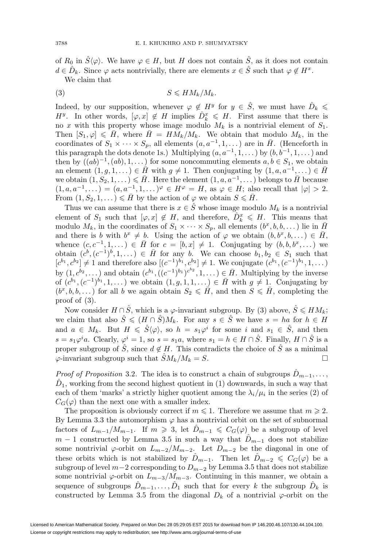of  $R_0$  in  $\hat{S}\langle\varphi\rangle$ . We have  $\varphi \in H$ , but H does not contain  $\hat{S}$ , as it does not contain  $d \in \hat{D}_k$ . Since  $\varphi$  acts nontrivially, there are elements  $x \in \hat{S}$  such that  $\varphi \notin H^x$ . We claim that

$$
(3) \t\t S \leqslant H M_k / M_k.
$$

Indeed, by our supposition, whenever  $\varphi \notin H^y$  for  $y \in \hat{S}$ , we must have  $\hat{D}_k \leq$  $H^y$ . In other words,  $[\varphi, x] \notin H$  implies  $\hat{D}_k^x \leq H$ . First assume that there is no x with this property whose image modulo  $M_k$  is a nontrivial element of  $S_1$ . Then  $[S_1, \varphi] \leq \bar{H}$ , where  $\bar{H} = H\tilde{M}_k/M_k$ . We obtain that modulo  $M_k$ , in the coordinates of  $S_1 \times \cdots \times S_p$ , all elements  $(a, a^{-1}, 1, \dots)$  are in  $\overline{H}$ . (Henceforth in this paragraph the dots denote 1s.) Multiplying  $(a, a^{-1}, 1, \ldots)$  by  $(b, b^{-1}, 1, \ldots)$  and then by  $((ab)^{-1}, (ab), 1, \dots)$  for some noncommuting elements  $a, b \in S_1$ , we obtain an element  $(1, g, 1, ...) \in \overline{H}$  with  $g \neq 1$ . Then conjugating by  $(1, a, a^{-1}, ...) \in \overline{H}$ we obtain  $(1, S_2, 1, \ldots) \leqslant \bar{H}$ . Here the element  $(1, a, a^{-1}, \ldots)$  belongs to  $\bar{H}$  because  $(1, a, a^{-1},...)=(a, a^{-1}, 1, ...)^\varphi \in H^\varphi = H$ , as  $\varphi \in H$ ; also recall that  $|\varphi| > 2$ . From  $(1, S_2, 1, ...) \leq \overline{H}$  by the action of  $\varphi$  we obtain  $S \leq \overline{H}$ .

Thus we can assume that there is  $x \in \hat{S}$  whose image modulo  $M_k$  is a nontrivial element of  $S_1$  such that  $[\varphi, x] \notin H$ , and therefore,  $\hat{D}_k^x \leq H$ . This means that modulo  $M_k$ , in the coordinates of  $S_1 \times \cdots \times S_p$ , all elements  $(b^x, b, b, \dots)$  lie in  $\overline{H}$ and there is b with  $b^x \neq b$ . Using the action of  $\varphi$  we obtain  $(b, b^x, b, \dots) \in \overline{H}$ , whence  $(c, c^{-1}, 1, \dots) \in \overline{H}$  for  $c = [b, x] \neq 1$ . Conjugating by  $(b, b, b^x, \dots)$  we obtain  $(c^b, (c^{-1})^b, 1, \dots) \in \overline{H}$  for any b. We can choose  $b_1, b_2 \in S_1$  such that  $[c^{b_1}, c^{b_2}] \neq 1$  and therefore also  $[(c^{-1})^{b_1}, c^{b_2}] \neq 1$ . We conjugate  $(c^{b_1}, (c^{-1})^{b_1}, 1, \dots)$ by  $(1, c^{b_2}, \dots)$  and obtain  $(c^{b_1}, ((c^{-1})^{b_1})^{c^{b_2}}, 1, \dots) \in \overline{H}$ . Multiplying by the inverse of  $(c^{b_1}, (c^{-1})^{b_1}, 1, \ldots)$  we obtain  $(1, g, 1, 1, \ldots) \in \overline{H}$  with  $g \neq 1$ . Conjugating by  $(b^x, b, b, \dots)$  for all b we again obtain  $S_2 \leq \tilde{H}$ , and then  $S \leq \tilde{H}$ , completing the proof of (3).

Now consider  $H \cap \hat{S}$ , which is a  $\varphi$ -invariant subgroup. By (3) above,  $\hat{S} \leq H M_k$ ; we claim that also  $\hat{S} \leqslant (H \cap \hat{S})M_k$ . For any  $s \in \hat{S}$  we have  $s = ha$  for  $h \in H$ and  $a \in M_k$ . But  $H \leq \hat{S}\langle \varphi \rangle$ , so  $h = s_1\varphi^i$  for some i and  $s_1 \in \hat{S}$ , and then  $s = s_1\varphi^i a$ . Clearly,  $\varphi^i = 1$ , so  $s = s_1a$ , where  $s_1 = h \in H \cap \hat{S}$ . Finally,  $H \cap \hat{S}$  is a proper subgroup of  $\hat{S}$ , since  $d \notin H$ . This contradicts the choice of  $\hat{S}$  as a minimal  $\varphi$ -invariant subgroup such that  $\hat{S}M_k/M_k = S$ .

*Proof of Proposition* 3.2. The idea is to construct a chain of subgroups  $D_{m-1}, \ldots$ ,  $D_1$ , working from the second highest quotient in (1) downwards, in such a way that each of them 'marks' a strictly higher quotient among the  $\lambda_i/\mu_i$  in the series (2) of  $C_G(\varphi)$  than the next one with a smaller index.

The proposition is obviously correct if  $m \leq 1$ . Therefore we assume that  $m \geq 2$ . By Lemma 3.3 the automorphism  $\varphi$  has a nontrivial orbit on the set of subnormal factors of  $L_{m-1}/M_{m-1}$ . If  $m \geq 3$ , let  $\hat{D}_{m-1} \leq C_G(\varphi)$  be a subgroup of level  $m-1$  constructed by Lemma 3.5 in such a way that  $\hat{D}_{m-1}$  does not stabilize some nontrivial  $\varphi$ -orbit on  $L_{m-2}/M_{m-2}$ . Let  $D_{m-2}$  be the diagonal in one of these orbits which is not stabilized by  $\hat{D}_{m-1}$ . Then let  $\hat{D}_{m-2} \leqslant C_G(\varphi)$  be a subgroup of level  $m-2$  corresponding to  $D_{m-2}$  by Lemma 3.5 that does not stabilize some nontrivial  $\varphi$ -orbit on  $L_{m-3}/M_{m-3}$ . Continuing in this manner, we obtain a sequence of subgroups  $D_{m-1},\ldots,D_1$  such that for every k the subgroup  $D_k$  is constructed by Lemma 3.5 from the diagonal  $D_k$  of a nontrivial  $\varphi$ -orbit on the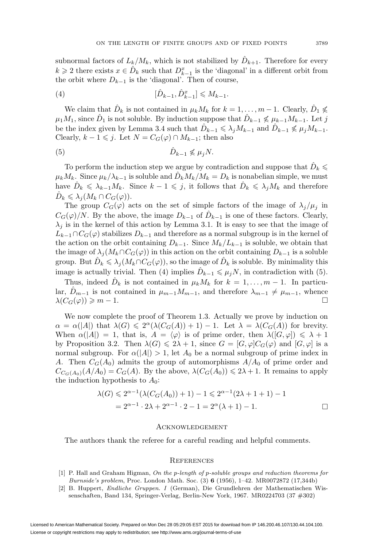subnormal factors of  $L_k/M_k$ , which is not stabilized by  $D_{k+1}$ . Therefore for every  $k \geqslant 2$  there exists  $x \in \hat{D}_k$  such that  $D_{k-1}^x$  is the 'diagonal' in a different orbit from the orbit where  $D_{k-1}$  is the 'diagonal'. Then of course,

(4) 
$$
[\hat{D}_{k-1}, \hat{D}_{k-1}^x] \leq M_{k-1}.
$$

We claim that  $\hat{D}_k$  is not contained in  $\mu_k M_k$  for  $k = 1, \ldots, m - 1$ . Clearly,  $\hat{D}_1 \nleq$  $\mu_1M_1$ , since  $\hat{D}_1$  is not soluble. By induction suppose that  $\hat{D}_{k-1} \nleq \mu_{k-1}M_{k-1}$ . Let j be the index given by Lemma 3.4 such that  $\hat{D}_{k-1} \leq \lambda_j M_{k-1}$  and  $\hat{D}_{k-1} \nleq \mu_j M_{k-1}$ . Clearly,  $k - 1 \leq j$ . Let  $N = C_G(\varphi) \cap M_{k-1}$ ; then also

$$
(5) \t\t\t\t\t\hat{D}_{k-1} \nleq \mu_j N.
$$

To perform the induction step we argue by contradiction and suppose that  $\hat{D}_k \leqslant$  $\mu_k M_k$ . Since  $\mu_k/\lambda_{k-1}$  is soluble and  $D_k M_k/M_k = D_k$  is nonabelian simple, we must have  $\hat{D}_k \leq \lambda_{k-1} M_k$ . Since  $k-1 \leqslant j$ , it follows that  $\hat{D}_k \leqslant \lambda_j M_k$  and therefore  $\hat{D}_k \leqslant \lambda_j (M_k \cap C_G(\varphi)).$ 

The group  $C_G(\varphi)$  acts on the set of simple factors of the image of  $\lambda_j/\mu_j$  in  $C_G(\varphi)/N$ . By the above, the image  $D_{k-1}$  of  $\hat{D}_{k-1}$  is one of these factors. Clearly,  $\lambda_i$  is in the kernel of this action by Lemma 3.1. It is easy to see that the image of  $L_{k-1} \cap C_G(\varphi)$  stabilizes  $D_{k-1}$  and therefore as a normal subgroup is in the kernel of the action on the orbit containing  $D_{k-1}$ . Since  $M_k/L_{k-1}$  is soluble, we obtain that the image of  $\lambda_j(M_k \cap C_G(\varphi))$  in this action on the orbit containing  $D_{k-1}$  is a soluble group. But  $\hat{D}_k \leqslant \lambda_j(M_k \cap C_G(\varphi))$ , so the image of  $\hat{D}_k$  is soluble. By minimality this image is actually trivial. Then (4) implies  $\hat{D}_{k-1} \leq \mu_j N$ , in contradiction with (5).

Thus, indeed  $\hat{D}_k$  is not contained in  $\mu_k M_k$  for  $k = 1, \ldots, m-1$ . In particular,  $D_{m-1}$  is not contained in  $\mu_{m-1}M_{m-1}$ , and therefore  $\lambda_{m-1}\neq \mu_{m-1}$ , whence  $\lambda(C_G(\varphi)) \geqslant m-1.$ 

We now complete the proof of Theorem 1.3. Actually we prove by induction on  $\alpha = \alpha(|A|)$  that  $\lambda(G) \leq 2^{\alpha}(\lambda(C_G(A)) + 1) - 1$ . Let  $\lambda = \lambda(C_G(A))$  for brevity. When  $\alpha(|A|) = 1$ , that is,  $A = \langle \varphi \rangle$  is of prime order, then  $\lambda([G, \varphi]) \leq \lambda + 1$ by Proposition 3.2. Then  $\lambda(G) \leq 2\lambda + 1$ , since  $G = [G, \varphi]C_G(\varphi)$  and  $[G, \varphi]$  is a normal subgroup. For  $\alpha(|A|) > 1$ , let  $A_0$  be a normal subgroup of prime index in A. Then  $C_G(A_0)$  admits the group of automorphisms  $A/A_0$  of prime order and  $C_{C_G(A_0)}(A/A_0) = C_G(A)$ . By the above,  $\lambda(C_G(A_0)) \leq 2\lambda + 1$ . It remains to apply the induction hypothesis to  $A_0$ :

$$
\lambda(G) \leq 2^{\alpha - 1} (\lambda(C_G(A_0)) + 1) - 1 \leq 2^{\alpha - 1} (2\lambda + 1 + 1) - 1
$$
  
=  $2^{\alpha - 1} \cdot 2\lambda + 2^{\alpha - 1} \cdot 2 - 1 = 2^{\alpha} (\lambda + 1) - 1.$ 

### **ACKNOWLEDGEMENT**

The authors thank the referee for a careful reading and helpful comments.

### **REFERENCES**

- [1] P. Hall and Graham Higman, On the p-length of p-soluble groups and reduction theorems for Burnside's problem, Proc. London Math. Soc. (3) **6** (1956), 1–42. MR0072872 (17,344b)
- [2] B. Huppert, Endliche Gruppen. I (German), Die Grundlehren der Mathematischen Wissenschaften, Band 134, Springer-Verlag, Berlin-New York, 1967. MR0224703 (37 #302)